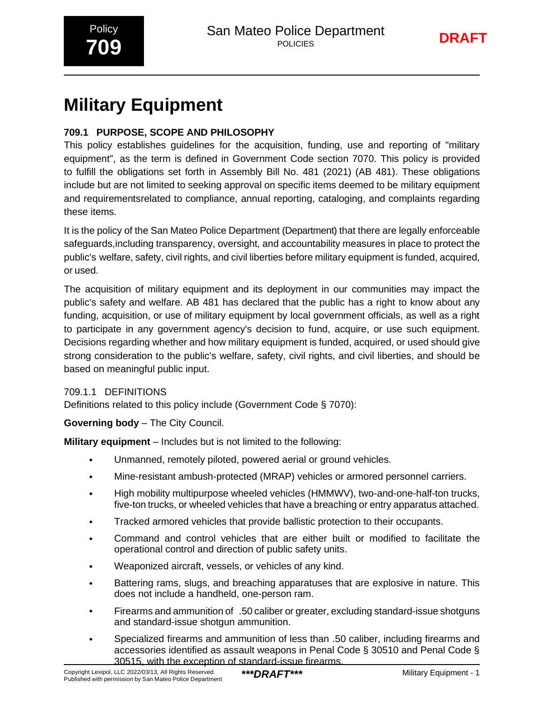# **Military Equipment**

### **709.1 PURPOSE, SCOPE AND PHILOSOPHY**

This policy establishes guidelines for the acquisition, funding, use and reporting of "military equipment", as the term is defined in Government Code section 7070. This policy is provided to fulfill the obligations set forth in Assembly Bill No. 481 (2021) (AB 481). These obligations include but are not limited to seeking approval on specific items deemed to be military equipment and requirementsrelated to compliance, annual reporting, cataloging, and complaints regarding these items.

It is the policy of the San Mateo Police Department (Department) that there are legally enforceable safeguards,including transparency, oversight, and accountability measures in place to protect the public's welfare, safety, civil rights, and civil liberties before military equipment is funded, acquired, or used.

The acquisition of military equipment and its deployment in our communities may impact the public's safety and welfare. AB 481 has declared that the public has a right to know about any funding, acquisition, or use of military equipment by local government officials, as well as a right to participate in any government agency's decision to fund, acquire, or use such equipment. Decisions regarding whether and how military equipment is funded, acquired, or used should give strong consideration to the public's welfare, safety, civil rights, and civil liberties, and should be based on meaningful public input.

#### 709.1.1 DEFINITIONS

Definitions related to this policy include (Government Code § 7070):

#### **Governing body** – The City Council.

**Military equipment** – Includes but is not limited to the following:

- Unmanned, remotely piloted, powered aerial or ground vehicles.
- Mine-resistant ambush-protected (MRAP) vehicles or armored personnel carriers.
- High mobility multipurpose wheeled vehicles (HMMWV), two-and-one-half-ton trucks, five-ton trucks, or wheeled vehicles that have a breaching or entry apparatus attached.
- Tracked armored vehicles that provide ballistic protection to their occupants.
- Command and control vehicles that are either built or modified to facilitate the operational control and direction of public safety units.
- Weaponized aircraft, vessels, or vehicles of any kind.
- Battering rams, slugs, and breaching apparatuses that are explosive in nature. This does not include a handheld, one-person ram.
- Firearms and ammunition of .50 caliber or greater, excluding standard-issue shotguns and standard-issue shotgun ammunition.
- Specialized firearms and ammunition of less than .50 caliber, including firearms and accessories identified as assault weapons in Penal Code § 30510 and Penal Code § 30515, with the exception of standard-issue firearms.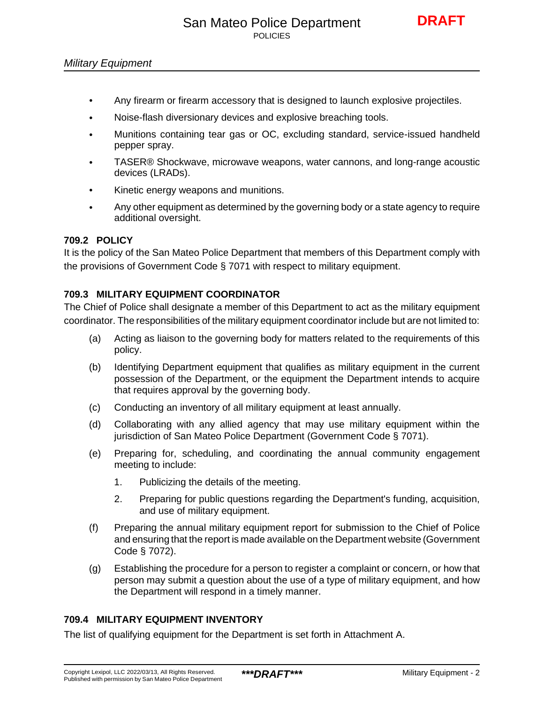- Any firearm or firearm accessory that is designed to launch explosive projectiles.
- Noise-flash diversionary devices and explosive breaching tools.
- Munitions containing tear gas or OC, excluding standard, service-issued handheld pepper spray.
- TASER® Shockwave, microwave weapons, water cannons, and long-range acoustic devices (LRADs).
- Kinetic energy weapons and munitions.
- Any other equipment as determined by the governing body or a state agency to require additional oversight.

#### **709.2 POLICY**

It is the policy of the San Mateo Police Department that members of this Department comply with the provisions of Government Code § 7071 with respect to military equipment.

#### **709.3 MILITARY EQUIPMENT COORDINATOR**

The Chief of Police shall designate a member of this Department to act as the military equipment coordinator. The responsibilities of the military equipment coordinator include but are not limited to:

- (a) Acting as liaison to the governing body for matters related to the requirements of this policy.
- (b) Identifying Department equipment that qualifies as military equipment in the current possession of the Department, or the equipment the Department intends to acquire that requires approval by the governing body.
- (c) Conducting an inventory of all military equipment at least annually.
- (d) Collaborating with any allied agency that may use military equipment within the jurisdiction of San Mateo Police Department (Government Code § 7071).
- (e) Preparing for, scheduling, and coordinating the annual community engagement meeting to include:
	- 1. Publicizing the details of the meeting.
	- 2. Preparing for public questions regarding the Department's funding, acquisition, and use of military equipment.
- (f) Preparing the annual military equipment report for submission to the Chief of Police and ensuring that the report is made available on the Department website (Government Code § 7072).
- (g) Establishing the procedure for a person to register a complaint or concern, or how that person may submit a question about the use of a type of military equipment, and how the Department will respond in a timely manner.

#### **709.4 MILITARY EQUIPMENT INVENTORY**

The list of qualifying equipment for the Department is set forth in Attachment A.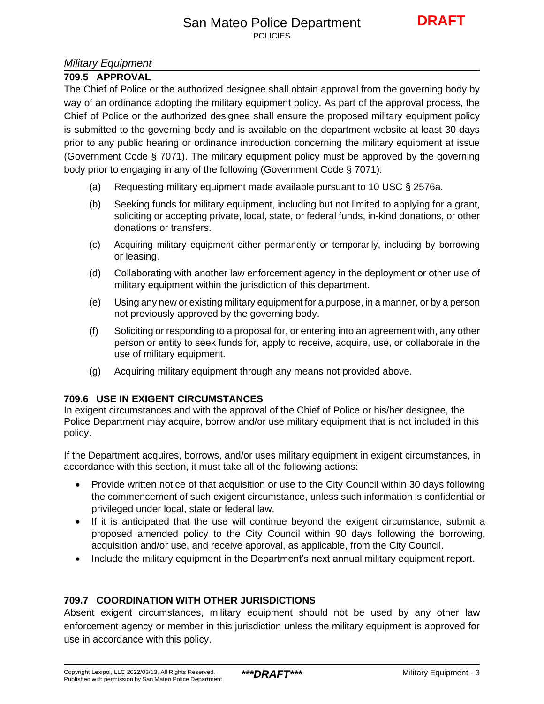#### *Military Equipment*

#### **709.5 APPROVAL**

The Chief of Police or the authorized designee shall obtain approval from the governing body by way of an ordinance adopting the military equipment policy. As part of the approval process, the Chief of Police or the authorized designee shall ensure the proposed military equipment policy is submitted to the governing body and is available on the department website at least 30 days prior to any public hearing or ordinance introduction concerning the military equipment at issue (Government Code § 7071). The military equipment policy must be approved by the governing body prior to engaging in any of the following (Government Code § 7071):

- (a) Requesting military equipment made available pursuant to 10 USC § 2576a.
- (b) Seeking funds for military equipment, including but not limited to applying for a grant, soliciting or accepting private, local, state, or federal funds, in-kind donations, or other donations or transfers.
- (c) Acquiring military equipment either permanently or temporarily, including by borrowing or leasing.
- (d) Collaborating with another law enforcement agency in the deployment or other use of military equipment within the jurisdiction of this department.
- (e) Using any new or existing military equipment for a purpose, in a manner, or by a person not previously approved by the governing body.
- (f) Soliciting or responding to a proposal for, or entering into an agreement with, any other person or entity to seek funds for, apply to receive, acquire, use, or collaborate in the use of military equipment.
- (g) Acquiring military equipment through any means not provided above.

#### **709.6 USE IN EXIGENT CIRCUMSTANCES**

In exigent circumstances and with the approval of the Chief of Police or his/her designee, the Police Department may acquire, borrow and/or use military equipment that is not included in this policy.

If the Department acquires, borrows, and/or uses military equipment in exigent circumstances, in accordance with this section, it must take all of the following actions:

- Provide written notice of that acquisition or use to the City Council within 30 days following the commencement of such exigent circumstance, unless such information is confidential or privileged under local, state or federal law.
- If it is anticipated that the use will continue beyond the exigent circumstance, submit a proposed amended policy to the City Council within 90 days following the borrowing, acquisition and/or use, and receive approval, as applicable, from the City Council.
- Include the military equipment in the Department's next annual military equipment report.

#### **709.7 COORDINATION WITH OTHER JURISDICTIONS**

Absent exigent circumstances, military equipment should not be used by any other law enforcement agency or member in this jurisdiction unless the military equipment is approved for use in accordance with this policy.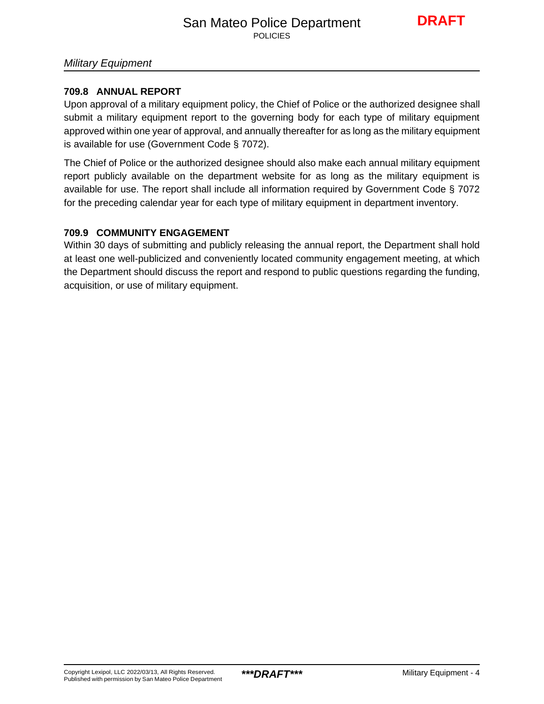#### *Military Equipment*

#### **709.8 ANNUAL REPORT**

Upon approval of a military equipment policy, the Chief of Police or the authorized designee shall submit a military equipment report to the governing body for each type of military equipment approved within one year of approval, and annually thereafter for as long as the military equipment is available for use (Government Code § 7072).

The Chief of Police or the authorized designee should also make each annual military equipment report publicly available on the department website for as long as the military equipment is available for use. The report shall include all information required by Government Code § 7072 for the preceding calendar year for each type of military equipment in department inventory.

#### **709.9 COMMUNITY ENGAGEMENT**

Within 30 days of submitting and publicly releasing the annual report, the Department shall hold at least one well-publicized and conveniently located community engagement meeting, at which the Department should discuss the report and respond to public questions regarding the funding, acquisition, or use of military equipment.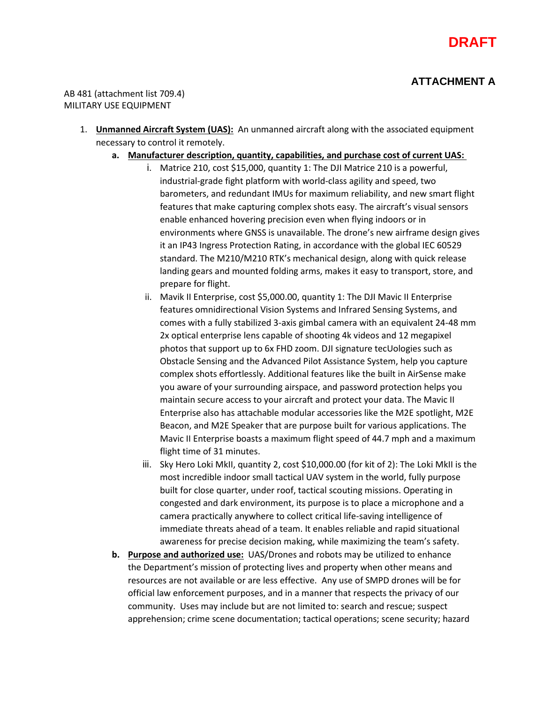

#### **ATTACHMENT A**

AB 481 (attachment list 709.4) MILITARY USE EQUIPMENT

- 1. **Unmanned Aircraft System (UAS):** An unmanned aircraft along with the associated equipment necessary to control it remotely.
	- **a. Manufacturer description, quantity, capabilities, and purchase cost of current UAS:** 
		- i. Matrice 210, cost \$15,000, quantity 1: The DJI Matrice 210 is a powerful, industrial-grade fight platform with world-class agility and speed, two barometers, and redundant IMUs for maximum reliability, and new smart flight features that make capturing complex shots easy. The aircraft's visual sensors enable enhanced hovering precision even when flying indoors or in environments where GNSS is unavailable. The drone's new airframe design gives it an IP43 Ingress Protection Rating, in accordance with the global IEC 60529 standard. The M210/M210 RTK's mechanical design, along with quick release landing gears and mounted folding arms, makes it easy to transport, store, and prepare for flight.
		- ii. Mavik II Enterprise, cost \$5,000.00, quantity 1: The DJI Mavic II Enterprise features omnidirectional Vision Systems and Infrared Sensing Systems, and comes with a fully stabilized 3-axis gimbal camera with an equivalent 24-48 mm 2x optical enterprise lens capable of shooting 4k videos and 12 megapixel photos that support up to 6x FHD zoom. DJI signature tecUologies such as Obstacle Sensing and the Advanced Pilot Assistance System, help you capture complex shots effortlessly. Additional features like the built in AirSense make you aware of your surrounding airspace, and password protection helps you maintain secure access to your aircraft and protect your data. The Mavic II Enterprise also has attachable modular accessories like the M2E spotlight, M2E Beacon, and M2E Speaker that are purpose built for various applications. The Mavic II Enterprise boasts a maximum flight speed of 44.7 mph and a maximum flight time of 31 minutes.
		- iii. Sky Hero Loki MkII, quantity 2, cost \$10,000.00 (for kit of 2): The Loki MkII is the most incredible indoor small tactical UAV system in the world, fully purpose built for close quarter, under roof, tactical scouting missions. Operating in congested and dark environment, its purpose is to place a microphone and a camera practically anywhere to collect critical life-saving intelligence of immediate threats ahead of a team. It enables reliable and rapid situational awareness for precise decision making, while maximizing the team's safety.
	- **b. Purpose and authorized use:** UAS/Drones and robots may be utilized to enhance the Department's mission of protecting lives and property when other means and resources are not available or are less effective. Any use of SMPD drones will be for official law enforcement purposes, and in a manner that respects the privacy of our community. Uses may include but are not limited to: search and rescue; suspect apprehension; crime scene documentation; tactical operations; scene security; hazard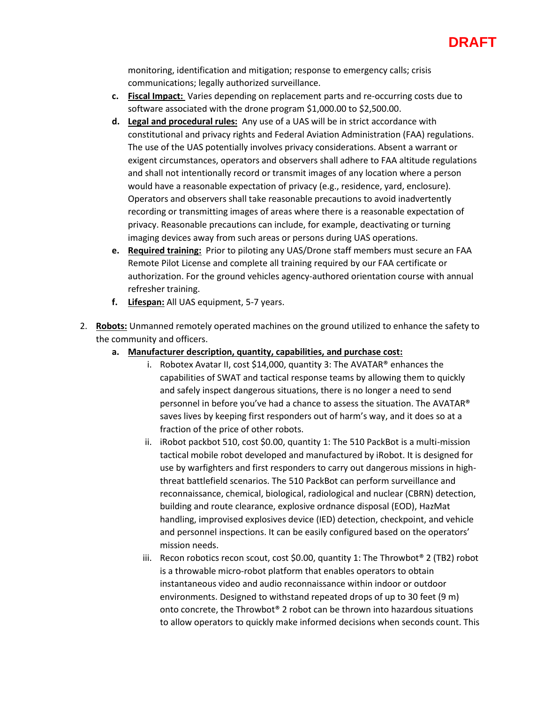

monitoring, identification and mitigation; response to emergency calls; crisis communications; legally authorized surveillance.

- **c. Fiscal Impact:** Varies depending on replacement parts and re-occurring costs due to software associated with the drone program \$1,000.00 to \$2,500.00.
- **d. Legal and procedural rules:** Any use of a UAS will be in strict accordance with constitutional and privacy rights and Federal Aviation Administration (FAA) regulations. The use of the UAS potentially involves privacy considerations. Absent a warrant or exigent circumstances, operators and observers shall adhere to FAA altitude regulations and shall not intentionally record or transmit images of any location where a person would have a reasonable expectation of privacy (e.g., residence, yard, enclosure). Operators and observers shall take reasonable precautions to avoid inadvertently recording or transmitting images of areas where there is a reasonable expectation of privacy. Reasonable precautions can include, for example, deactivating or turning imaging devices away from such areas or persons during UAS operations.
- **e. Required training:** Prior to piloting any UAS/Drone staff members must secure an FAA Remote Pilot License and complete all training required by our FAA certificate or authorization. For the ground vehicles agency-authored orientation course with annual refresher training.
- **f. Lifespan:** All UAS equipment, 5-7 years.
- 2. **Robots:** Unmanned remotely operated machines on the ground utilized to enhance the safety to the community and officers.
	- **a. Manufacturer description, quantity, capabilities, and purchase cost:**
		- i. Robotex Avatar II, cost \$14,000, quantity 3: The AVATAR® enhances the capabilities of SWAT and tactical response teams by allowing them to quickly and safely inspect dangerous situations, there is no longer a need to send personnel in before you've had a chance to assess the situation. The AVATAR® saves lives by keeping first responders out of harm's way, and it does so at a fraction of the price of other robots.
		- ii. iRobot packbot 510, cost \$0.00, quantity 1: The 510 PackBot is a multi-mission tactical mobile robot developed and manufactured by iRobot. It is designed for use by warfighters and first responders to carry out dangerous missions in highthreat battlefield scenarios. The 510 PackBot can perform surveillance and reconnaissance, chemical, biological, radiological and nuclear (CBRN) detection, building and route clearance, explosive ordnance disposal (EOD), HazMat handling, improvised explosives device (IED) detection, checkpoint, and vehicle and personnel inspections. It can be easily configured based on the operators' mission needs.
		- iii. Recon robotics recon scout, cost \$0.00, quantity 1: The Throwbot<sup>®</sup> 2 (TB2) robot is a throwable micro-robot platform that enables operators to obtain instantaneous video and audio reconnaissance within indoor or outdoor environments. Designed to withstand repeated drops of up to 30 feet (9 m) onto concrete, the Throwbot® 2 robot can be thrown into hazardous situations to allow operators to quickly make informed decisions when seconds count. This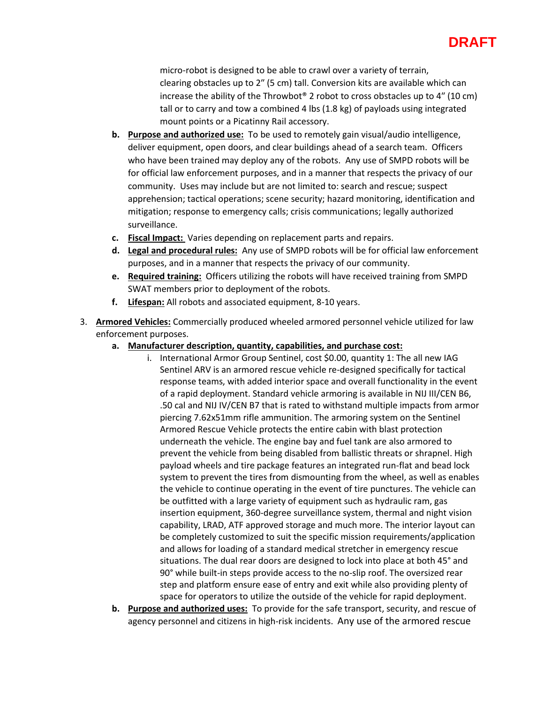### **DRAFT**

micro-robot is designed to be able to crawl over a variety of terrain, clearing obstacles up to 2″ (5 cm) tall. Conversion kits are available which can increase the ability of the Throwbot® 2 robot to cross obstacles up to  $4''$  (10 cm) tall or to carry and tow a combined 4 lbs (1.8 kg) of payloads using integrated mount points or a Picatinny Rail accessory.

- **b. Purpose and authorized use:** To be used to remotely gain visual/audio intelligence, deliver equipment, open doors, and clear buildings ahead of a search team. Officers who have been trained may deploy any of the robots. Any use of SMPD robots will be for official law enforcement purposes, and in a manner that respects the privacy of our community. Uses may include but are not limited to: search and rescue; suspect apprehension; tactical operations; scene security; hazard monitoring, identification and mitigation; response to emergency calls; crisis communications; legally authorized surveillance.
- **c. Fiscal Impact:** Varies depending on replacement parts and repairs.
- **d. Legal and procedural rules:** Any use of SMPD robots will be for official law enforcement purposes, and in a manner that respects the privacy of our community.
- **e. Required training:** Officers utilizing the robots will have received training from SMPD SWAT members prior to deployment of the robots.
- **f. Lifespan:** All robots and associated equipment, 8-10 years.
- 3. **Armored Vehicles:** Commercially produced wheeled armored personnel vehicle utilized for law enforcement purposes.
	- **a. Manufacturer description, quantity, capabilities, and purchase cost:**
		- i. International Armor Group Sentinel, cost \$0.00, quantity 1: The all new IAG Sentinel ARV is an armored rescue vehicle re-designed specifically for tactical response teams, with added interior space and overall functionality in the event of a rapid deployment. Standard vehicle armoring is available in NIJ III/CEN B6, .50 cal and NIJ IV/CEN B7 that is rated to withstand multiple impacts from armor piercing 7.62x51mm rifle ammunition. The armoring system on the Sentinel Armored Rescue Vehicle protects the entire cabin with blast protection underneath the vehicle. The engine bay and fuel tank are also armored to prevent the vehicle from being disabled from ballistic threats or shrapnel. High payload wheels and tire package features an integrated run-flat and bead lock system to prevent the tires from dismounting from the wheel, as well as enables the vehicle to continue operating in the event of tire punctures. The vehicle can be outfitted with a large variety of equipment such as hydraulic ram, gas insertion equipment, 360-degree surveillance system, thermal and night vision capability, LRAD, ATF approved storage and much more. The interior layout can be completely customized to suit the specific mission requirements/application and allows for loading of a standard medical stretcher in emergency rescue situations. The dual rear doors are designed to lock into place at both 45° and 90° while built-in steps provide access to the no-slip roof. The oversized rear step and platform ensure ease of entry and exit while also providing plenty of space for operators to utilize the outside of the vehicle for rapid deployment.
	- **b. Purpose and authorized uses:** To provide for the safe transport, security, and rescue of agency personnel and citizens in high-risk incidents. Any use of the armored rescue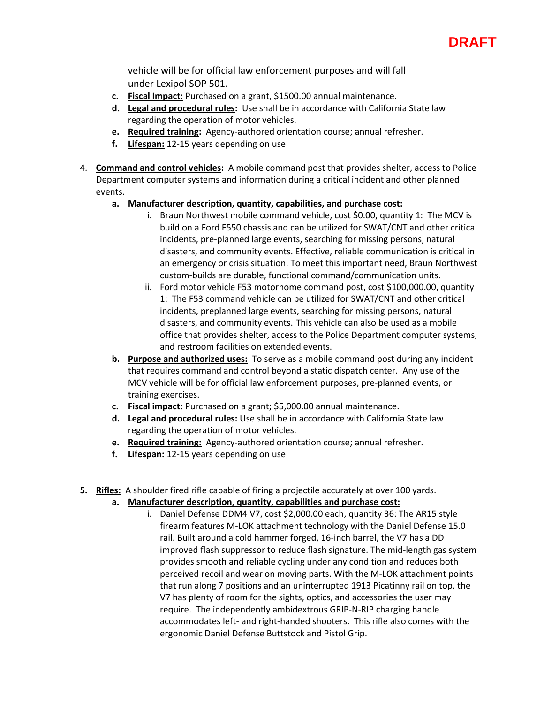

vehicle will be for official law enforcement purposes and will fall under Lexipol SOP 501.

- **c. Fiscal Impact:** Purchased on a grant, \$1500.00 annual maintenance.
- **d. Legal and procedural rules:** Use shall be in accordance with California State law regarding the operation of motor vehicles.
- **e. Required training:** Agency-authored orientation course; annual refresher.
- **f. Lifespan:** 12-15 years depending on use
- 4. **Command and control vehicles:** A mobile command post that provides shelter, access to Police Department computer systems and information during a critical incident and other planned events.
	- **a. Manufacturer description, quantity, capabilities, and purchase cost:**
		- i. Braun Northwest mobile command vehicle, cost \$0.00, quantity 1: The MCV is build on a Ford F550 chassis and can be utilized for SWAT/CNT and other critical incidents, pre-planned large events, searching for missing persons, natural disasters, and community events. Effective, reliable communication is critical in an emergency or crisis situation. To meet this important need, Braun Northwest custom-builds are durable, functional command/communication units.
		- ii. Ford motor vehicle F53 motorhome command post, cost \$100,000.00, quantity 1: The F53 command vehicle can be utilized for SWAT/CNT and other critical incidents, preplanned large events, searching for missing persons, natural disasters, and community events. This vehicle can also be used as a mobile office that provides shelter, access to the Police Department computer systems, and restroom facilities on extended events.
	- **b. Purpose and authorized uses:** To serve as a mobile command post during any incident that requires command and control beyond a static dispatch center. Any use of the MCV vehicle will be for official law enforcement purposes, pre-planned events, or training exercises.
	- **c. Fiscal impact:** Purchased on a grant; \$5,000.00 annual maintenance.
	- **d. Legal and procedural rules:** Use shall be in accordance with California State law regarding the operation of motor vehicles.
	- **e. Required training:** Agency-authored orientation course; annual refresher.
	- **f. Lifespan:** 12-15 years depending on use
- **5. Rifles:** A shoulder fired rifle capable of firing a projectile accurately at over 100 yards.
	- **a. Manufacturer description, quantity, capabilities and purchase cost:**
		- i. Daniel Defense DDM4 V7, cost \$2,000.00 each, quantity 36: The AR15 style firearm features M-LOK attachment technology with the Daniel Defense 15.0 rail. Built around a cold hammer forged, 16-inch barrel, the V7 has a DD improved flash suppressor to reduce flash signature. The mid-length gas system provides smooth and reliable cycling under any condition and reduces both perceived recoil and wear on moving parts. With the M-LOK attachment points that run along 7 positions and an uninterrupted 1913 Picatinny rail on top, the V7 has plenty of room for the sights, optics, and accessories the user may require. The independently ambidextrous GRIP-N-RIP charging handle accommodates left- and right-handed shooters. This rifle also comes with the ergonomic Daniel Defense Buttstock and Pistol Grip.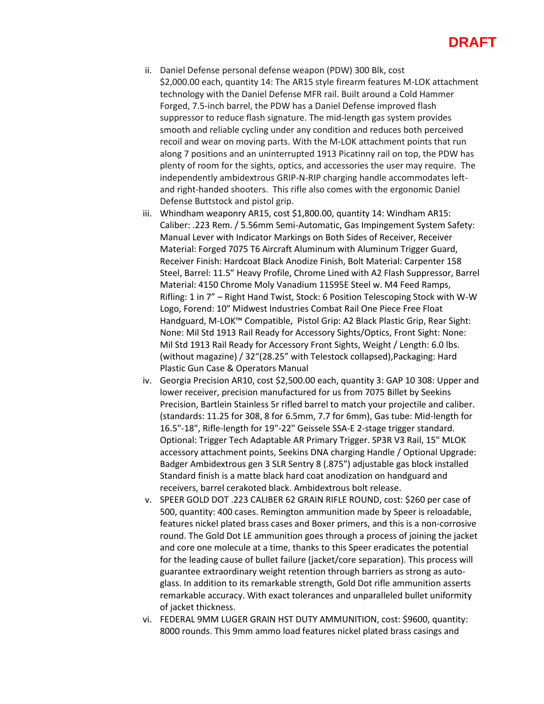- ii. Daniel Defense personal defense weapon (PDW) 300 Blk, cost \$2,000.00 each, quantity 14: The AR15 style firearm features M-LOK attachment technology with the Daniel Defense MFR rail. Built around a Cold Hammer Forged, 7.5-inch barrel, the PDW has a Daniel Defense improved flash suppressor to reduce flash signature. The mid-length gas system provides smooth and reliable cycling under any condition and reduces both perceived recoil and wear on moving parts. With the M-LOK attachment points that run along 7 positions and an uninterrupted 1913 Picatinny rail on top, the PDW has plenty of room for the sights, optics, and accessories the user may require. The independently ambidextrous GRIP-N-RIP charging handle accommodates leftand right-handed shooters. This rifle also comes with the ergonomic Daniel Defense Buttstock and pistol grip.
- iii. Whindham weaponry AR15, cost \$1,800.00, quantity 14: Windham AR15: Caliber: .223 Rem. / 5.56mm Semi-Automatic, Gas Impingement System Safety: Manual Lever with Indicator Markings on Both Sides of Receiver, Receiver Material: Forged 7075 T6 Aircraft Aluminum with Aluminum Trigger Guard, Receiver Finish: Hardcoat Black Anodize Finish, Bolt Material: Carpenter 158 Steel, Barrel: 11.5" Heavy Profile, Chrome Lined with A2 Flash Suppressor, Barrel Material: 4150 Chrome Moly Vanadium 11595E Steel w. M4 Feed Ramps, Rifling: 1 in 7" – Right Hand Twist, Stock: 6 Position Telescoping Stock with W-W Logo, Forend: 10″ Midwest Industries Combat Rail One Piece Free Float Handguard, M-LOK™ Compatible, Pistol Grip: A2 Black Plastic Grip, Rear Sight: None: Mil Std 1913 Rail Ready for Accessory Sights/Optics, Front Sight: None: Mil Std 1913 Rail Ready for Accessory Front Sights, Weight / Length: 6.0 lbs. (without magazine) / 32"(28.25" with Telestock collapsed),Packaging: Hard Plastic Gun Case & Operators Manual
- iv. Georgia Precision AR10, cost \$2,500.00 each, quantity 3: GAP 10 308: Upper and lower receiver, precision manufactured for us from 7075 Billet by Seekins Precision, Bartlein Stainless 5r rifled barrel to match your projectile and caliber. (standards: 11.25 for 308, 8 for 6.5mm, 7.7 for 6mm), Gas tube: Mid-length for 16.5"-18", Rifle-length for 19"-22" Geissele SSA-E 2-stage trigger standard. Optional: Trigger Tech Adaptable AR Primary Trigger. SP3R V3 Rail, 15" MLOK accessory attachment points, Seekins DNA charging Handle / Optional Upgrade: Badger Ambidextrous gen 3 SLR Sentry 8 (.875") adjustable gas block installed Standard finish is a matte black hard coat anodization on handguard and receivers, barrel cerakoted black. Ambidextrous bolt release.
- v. SPEER GOLD DOT .223 CALIBER 62 GRAIN RIFLE ROUND, cost: \$260 per case of 500, quantity: 400 cases. Remington ammunition made by Speer is reloadable, features nickel plated brass cases and Boxer primers, and this is a non-corrosive round. The Gold Dot LE ammunition goes through a process of joining the jacket and core one molecule at a time, thanks to this Speer eradicates the potential for the leading cause of bullet failure (jacket/core separation). This process will guarantee extraordinary weight retention through barriers as strong as autoglass. In addition to its remarkable strength, Gold Dot rifle ammunition asserts remarkable accuracy. With exact tolerances and unparalleled bullet uniformity of jacket thickness.
- vi. FEDERAL 9MM LUGER GRAIN HST DUTY AMMUNITION, cost: \$9600, quantity: 8000 rounds. This 9mm ammo load features nickel plated brass casings and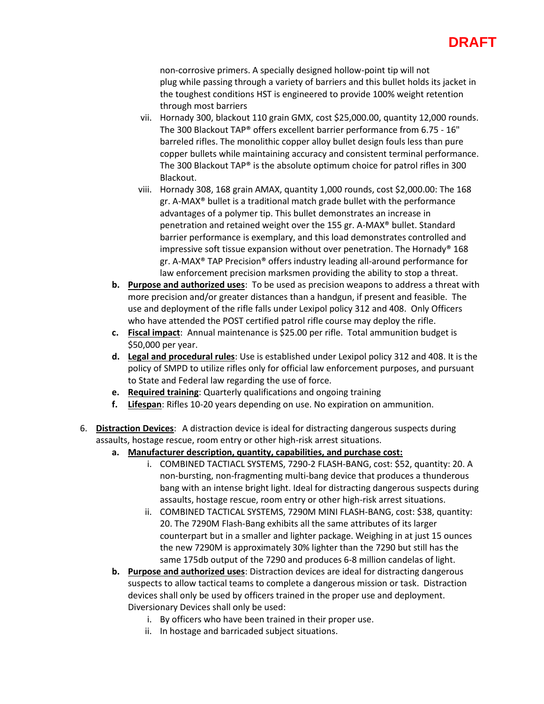### **DRAFT**

non-corrosive primers. A specially designed hollow-point tip will not plug while passing through a variety of barriers and this bullet holds its jacket in the toughest conditions HST is engineered to provide 100% weight retention through most barriers

- vii. Hornady 300, blackout 110 grain GMX, cost \$25,000.00, quantity 12,000 rounds. The 300 Blackout TAP® offers excellent barrier performance from 6.75 - 16" barreled rifles. The monolithic copper alloy bullet design fouls less than pure copper bullets while maintaining accuracy and consistent terminal performance. The 300 Blackout TAP® is the absolute optimum choice for patrol rifles in 300 Blackout.
- viii. Hornady 308, 168 grain AMAX, quantity 1,000 rounds, cost \$2,000.00: The 168 gr. A-MAX® bullet is a traditional match grade bullet with the performance advantages of a polymer tip. This bullet demonstrates an increase in penetration and retained weight over the 155 gr. A-MAX® bullet. Standard barrier performance is exemplary, and this load demonstrates controlled and impressive soft tissue expansion without over penetration. The Hornady® 168 gr. A-MAX® TAP Precision® offers industry leading all-around performance for law enforcement precision marksmen providing the ability to stop a threat.
- **b. Purpose and authorized uses**: To be used as precision weapons to address a threat with more precision and/or greater distances than a handgun, if present and feasible. The use and deployment of the rifle falls under Lexipol policy 312 and 408. Only Officers who have attended the POST certified patrol rifle course may deploy the rifle.
- **c. Fiscal impact**: Annual maintenance is \$25.00 per rifle. Total ammunition budget is \$50,000 per year.
- **d. Legal and procedural rules**: Use is established under Lexipol policy 312 and 408. It is the policy of SMPD to utilize rifles only for official law enforcement purposes, and pursuant to State and Federal law regarding the use of force.
- **e. Required training**: Quarterly qualifications and ongoing training
- **f. Lifespan**: Rifles 10-20 years depending on use. No expiration on ammunition.
- 6. **Distraction Devices**: A distraction device is ideal for distracting dangerous suspects during assaults, hostage rescue, room entry or other high-risk arrest situations.
	- **a. Manufacturer description, quantity, capabilities, and purchase cost:**
		- i. COMBINED TACTIACL SYSTEMS, 7290-2 FLASH-BANG, cost: \$52, quantity: 20. A non-bursting, non-fragmenting multi-bang device that produces a thunderous bang with an intense bright light. Ideal for distracting dangerous suspects during assaults, hostage rescue, room entry or other high-risk arrest situations.
		- ii. COMBINED TACTICAL SYSTEMS, 7290M MINI FLASH-BANG, cost: \$38, quantity: 20. The 7290M Flash-Bang exhibits all the same attributes of its larger counterpart but in a smaller and lighter package. Weighing in at just 15 ounces the new 7290M is approximately 30% lighter than the 7290 but still has the same 175db output of the 7290 and produces 6-8 million candelas of light.
	- **b. Purpose and authorized uses**: Distraction devices are ideal for distracting dangerous suspects to allow tactical teams to complete a dangerous mission or task. Distraction devices shall only be used by officers trained in the proper use and deployment. Diversionary Devices shall only be used:
		- i. By officers who have been trained in their proper use.
		- ii. In hostage and barricaded subject situations.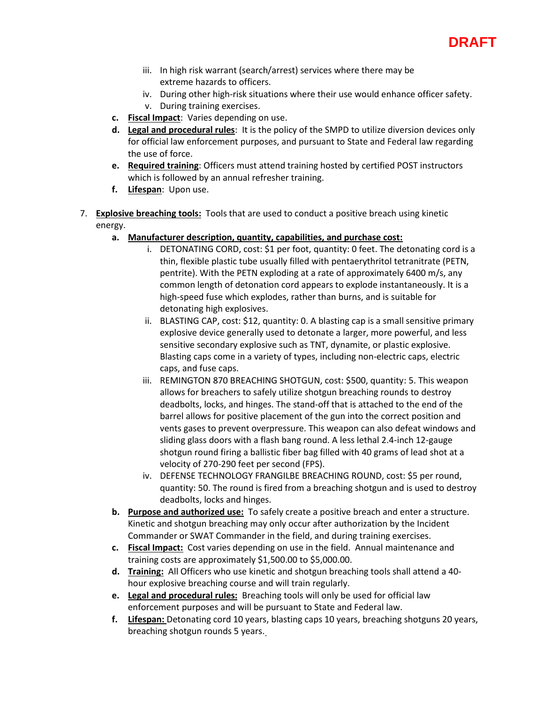

- iii. In high risk warrant (search/arrest) services where there may be extreme hazards to officers.
- iv. During other high-risk situations where their use would enhance officer safety.
- v. During training exercises.
- **c. Fiscal Impact**: Varies depending on use.
- **d. Legal and procedural rules**: It is the policy of the SMPD to utilize diversion devices only for official law enforcement purposes, and pursuant to State and Federal law regarding the use of force.
- **e. Required training**: Officers must attend training hosted by certified POST instructors which is followed by an annual refresher training.
- **f. Lifespan**: Upon use.
- 7. **Explosive breaching tools:** Tools that are used to conduct a positive breach using kinetic energy.
	- **a. Manufacturer description, quantity, capabilities, and purchase cost:**
		- i. DETONATING CORD, cost: \$1 per foot, quantity: 0 feet. The detonating cord is a thin, flexible plastic tube usually filled with pentaerythritol tetranitrate (PETN, pentrite). With the PETN exploding at a rate of approximately 6400 m/s, any common length of detonation cord appears to explode instantaneously. It is a high-speed fuse which explodes, rather than burns, and is suitable for detonating high explosives.
		- ii. BLASTING CAP, cost: \$12, quantity: 0. A blasting cap is a small sensitive primary explosive device generally used to detonate a larger, more powerful, and less sensitive secondary explosive such as TNT, dynamite, or plastic explosive. Blasting caps come in a variety of types, including non-electric caps, electric caps, and fuse caps.
		- iii. REMINGTON 870 BREACHING SHOTGUN, cost: \$500, quantity: 5. This weapon allows for breachers to safely utilize shotgun breaching rounds to destroy deadbolts, locks, and hinges. The stand-off that is attached to the end of the barrel allows for positive placement of the gun into the correct position and vents gases to prevent overpressure. This weapon can also defeat windows and sliding glass doors with a flash bang round. A less lethal 2.4-inch 12-gauge shotgun round firing a ballistic fiber bag filled with 40 grams of lead shot at a velocity of 270-290 feet per second (FPS).
		- iv. DEFENSE TECHNOLOGY FRANGILBE BREACHING ROUND, cost: \$5 per round, quantity: 50. The round is fired from a breaching shotgun and is used to destroy deadbolts, locks and hinges.
	- **b. Purpose and authorized use:** To safely create a positive breach and enter a structure. Kinetic and shotgun breaching may only occur after authorization by the Incident Commander or SWAT Commander in the field, and during training exercises.
	- **c. Fiscal Impact:** Cost varies depending on use in the field. Annual maintenance and training costs are approximately \$1,500.00 to \$5,000.00.
	- **d. Training:** All Officers who use kinetic and shotgun breaching tools shall attend a 40 hour explosive breaching course and will train regularly.
	- **e. Legal and procedural rules:** Breaching tools will only be used for official law enforcement purposes and will be pursuant to State and Federal law.
	- **f. Lifespan:** Detonating cord 10 years, blasting caps 10 years, breaching shotguns 20 years, breaching shotgun rounds 5 years.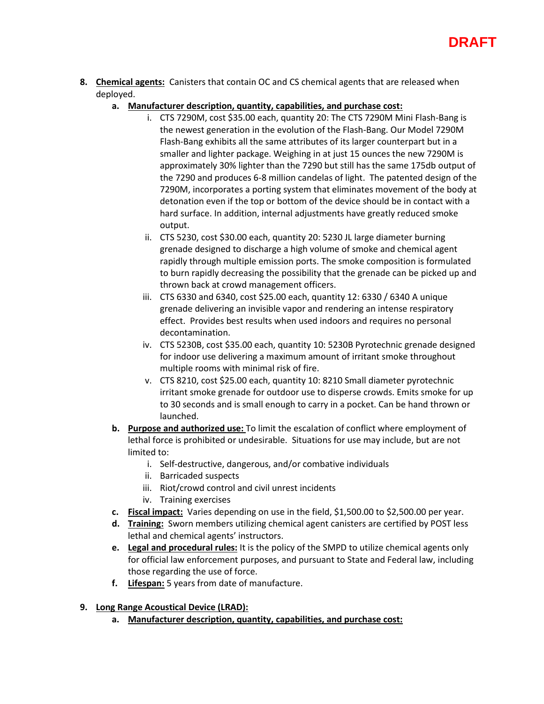- **8. Chemical agents:** Canisters that contain OC and CS chemical agents that are released when deployed.
	- **a. Manufacturer description, quantity, capabilities, and purchase cost:**
		- i. CTS 7290M, cost \$35.00 each, quantity 20: The CTS 7290M Mini Flash-Bang is the newest generation in the evolution of the Flash-Bang. Our Model 7290M Flash-Bang exhibits all the same attributes of its larger counterpart but in a smaller and lighter package. Weighing in at just 15 ounces the new 7290M is approximately 30% lighter than the 7290 but still has the same 175db output of the 7290 and produces 6-8 million candelas of light. The patented design of the 7290M, incorporates a porting system that eliminates movement of the body at detonation even if the top or bottom of the device should be in contact with a hard surface. In addition, internal adjustments have greatly reduced smoke output.
		- ii. CTS 5230, cost \$30.00 each, quantity 20: 5230 JL large diameter burning grenade designed to discharge a high volume of smoke and chemical agent rapidly through multiple emission ports. The smoke composition is formulated to burn rapidly decreasing the possibility that the grenade can be picked up and thrown back at crowd management officers.
		- iii. CTS 6330 and 6340, cost \$25.00 each, quantity 12: 6330 / 6340 A unique grenade delivering an invisible vapor and rendering an intense respiratory effect. Provides best results when used indoors and requires no personal decontamination.
		- iv. CTS 5230B, cost \$35.00 each, quantity 10: 5230B Pyrotechnic grenade designed for indoor use delivering a maximum amount of irritant smoke throughout multiple rooms with minimal risk of fire.
		- v. CTS 8210, cost \$25.00 each, quantity 10: 8210 Small diameter pyrotechnic irritant smoke grenade for outdoor use to disperse crowds. Emits smoke for up to 30 seconds and is small enough to carry in a pocket. Can be hand thrown or launched.
	- **b. Purpose and authorized use:** To limit the escalation of conflict where employment of lethal force is prohibited or undesirable. Situations for use may include, but are not limited to:
		- i. Self-destructive, dangerous, and/or combative individuals
		- ii. Barricaded suspects
		- iii. Riot/crowd control and civil unrest incidents
		- iv. Training exercises
	- **c. Fiscal impact:** Varies depending on use in the field, \$1,500.00 to \$2,500.00 per year.
	- **d. Training:** Sworn members utilizing chemical agent canisters are certified by POST less lethal and chemical agents' instructors.
	- **e. Legal and procedural rules:** It is the policy of the SMPD to utilize chemical agents only for official law enforcement purposes, and pursuant to State and Federal law, including those regarding the use of force.
	- **f. Lifespan:** 5 years from date of manufacture.
- **9. Long Range Acoustical Device (LRAD):**
	- **a. Manufacturer description, quantity, capabilities, and purchase cost:**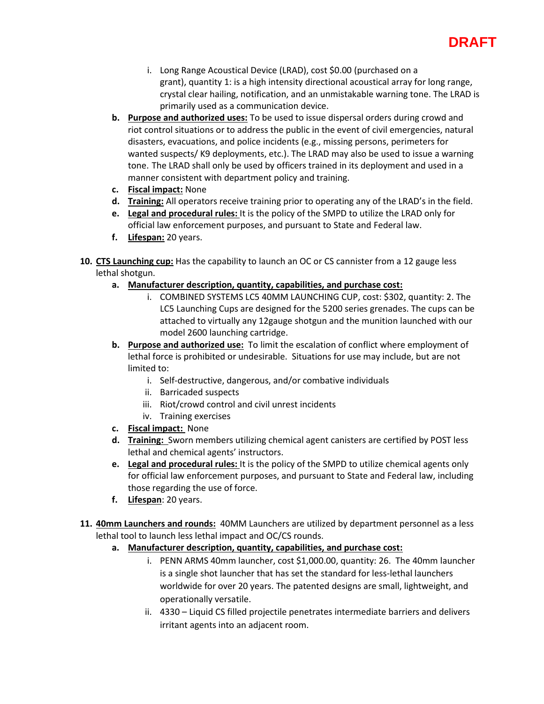## **DRAFT**

- i. Long Range Acoustical Device (LRAD), cost \$0.00 (purchased on a grant), quantity 1: is a high intensity directional acoustical array for long range, crystal clear hailing, notification, and an unmistakable warning tone. The LRAD is primarily used as a communication device.
- **b. Purpose and authorized uses:** To be used to issue dispersal orders during crowd and riot control situations or to address the public in the event of civil emergencies, natural disasters, evacuations, and police incidents (e.g., missing persons, perimeters for wanted suspects/ K9 deployments, etc.). The LRAD may also be used to issue a warning tone. The LRAD shall only be used by officers trained in its deployment and used in a manner consistent with department policy and training.
- **c. Fiscal impact:** None
- **d. Training:** All operators receive training prior to operating any of the LRAD's in the field.
- **e. Legal and procedural rules:** It is the policy of the SMPD to utilize the LRAD only for official law enforcement purposes, and pursuant to State and Federal law.
- **f. Lifespan:** 20 years.
- **10. CTS Launching cup:** Has the capability to launch an OC or CS cannister from a 12 gauge less lethal shotgun.
	- **a. Manufacturer description, quantity, capabilities, and purchase cost:**
		- i. COMBINED SYSTEMS LC5 40MM LAUNCHING CUP, cost: \$302, quantity: 2. The LC5 Launching Cups are designed for the 5200 series grenades. The cups can be attached to virtually any 12gauge shotgun and the munition launched with our model 2600 launching cartridge.
	- **b. Purpose and authorized use:** To limit the escalation of conflict where employment of lethal force is prohibited or undesirable. Situations for use may include, but are not limited to:
		- i. Self-destructive, dangerous, and/or combative individuals
		- ii. Barricaded suspects
		- iii. Riot/crowd control and civil unrest incidents
		- iv. Training exercises
	- **c. Fiscal impact:** None
	- **d. Training:** Sworn members utilizing chemical agent canisters are certified by POST less lethal and chemical agents' instructors.
	- **e. Legal and procedural rules:** It is the policy of the SMPD to utilize chemical agents only for official law enforcement purposes, and pursuant to State and Federal law, including those regarding the use of force.
	- **f. Lifespan**: 20 years.
- **11. 40mm Launchers and rounds:** 40MM Launchers are utilized by department personnel as a less lethal tool to launch less lethal impact and OC/CS rounds.
	- **a. Manufacturer description, quantity, capabilities, and purchase cost:**
		- i. PENN ARMS 40mm launcher, cost \$1,000.00, quantity: 26. The 40mm launcher is a single shot launcher that has set the standard for less-lethal launchers worldwide for over 20 years. The patented designs are small, lightweight, and operationally versatile.
		- ii. 4330 Liquid CS filled projectile penetrates intermediate barriers and delivers irritant agents into an adjacent room.